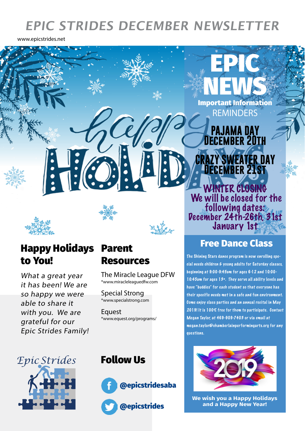# **EPIC STRIDES DECEMBER NEWSLETTER**

www.epicstrides.net

NEWS **REMINDERS** Important Information

> **PAJAMA DAY December 20th**

> > **December 21st**

WINTER CLOSING

 We will be closed for the following dates: December 24th-26th, 31st January 1st

**GRATER DAY** 

EPIC



## Happy Holidays to You!

 $\mathbf{E}$ 

 $\mathbf G$ 

What a great year it has been! We are so happy we were able to share it with you. We are grateful for our Epic Strides Family!



The Miracle League DFW \*www.miracleleaguedfw.com

Special Strong \*www.specialstrong.com

**Equest** \*www.equest.org/programs/

## Parent Free Dance Class

The Shining Stars dance program is now enrolling special needs children & young adults for Saturday classes, beginning at 9:00-9:45am for ages 6-12 and 10:00- 10:45am for ages 13+. They ser ve all ability levels and have "buddies" for each student so that everyone has their specific needs met in a safe and fun environment. Come enjoy class parties and an annual recital in May 2019! It is 100% free for them to participate. Contact Megan Taylor, at 469-909-7403 or via email at megan.taylor@chamberlainperformingarts.org for any questions.



### Follow Us





**We wish you a Happy Holidays and a Happy New Year!**